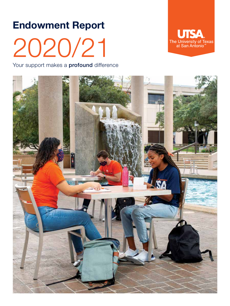# Endowment Report 2020/21

Your support makes a **profound** difference



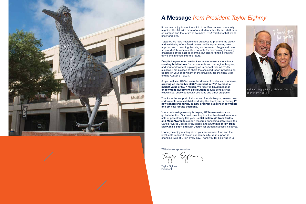

#### **A Message** *from President Taylor Eighmy*

It has been a joy to see the spirit of our Roadrunner community reignited this fall with more of our students, faculty and staff back on campus and the return of so many UTSA traditions that we all know and love.

Together, we have implemented practices to promote the safety and well-being of our Roadrunners, while implementing new approaches to teaching, learning and research. Peggy and I are so proud of this community – not only for overcoming the many challenges of the past 18 months, but also for finding ways to thrive and innovate into the future.

Despite the pandemic, we took some monumental steps toward creating bold futures for our students and our region this year, and your endowment is playing an important role in UTSA's success. I am pleased to share the enclosed report providing an update on your endowment at the university for the fiscal year ending August 31, 2021.

As you will see, UTSA's overall endowment continues to increase, growing an incredible 52.88% percent in FY21 to reach a market value of \$277 million. We received \$8.93 million in endowment investment distributions to fund scholarships, fellowships, endowed faculty positions and other programs.

Thanks to the support of alumni and friends like you, several new endowments were established during the fiscal year, including 17 new scholarship funds, 10 new program support endowments and six new faculty positions.

Your continued generosity is helping UTSA earn national and global attention. Our bold trajectory inspired two transformational acts of philanthropy this year - a \$20 million gift from Carlos and Malú Alvarez to support research-enhancing activities in the Carlos Alvarez College of Business, and a \$40 million gift from MacKenzie Scott and Dan Jewett for student success initiatives.

I hope you enjoy reading about your endowment fund and the invaluable impact it has on our community. Your support is changing lives at UTSA every day. Thank you for believing in us.

With sincere appreciation,

Tanu Ugu

Taylor Eighmy President



Taylor and Peggy Eighmy celebrate UTSA's 50th anniversary in 2019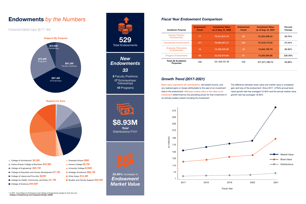### Endowments *by the Numbers Fiscal Year Endowment Comparison*

**Endowment Market Value (\$277.4M)** 

#### *Growth Trend (2017-2021)*

| <b>Academic Purpose</b>                         | <b>Endowment</b><br>Count | <b>Investment Value</b><br>as of Aug. 31, 2020 | <b>Endowment</b><br>Count | <b>Investment Value</b><br>as of Aug. 31, 2021 | Percent<br>Change |
|-------------------------------------------------|---------------------------|------------------------------------------------|---------------------------|------------------------------------------------|-------------------|
| <b>Faculty Position</b><br><b>Fndowments</b>    | 77                        | 70,314,975.78                                  | -82                       | 91,204,498.23                                  | 29.70%            |
| <b>Scholarship Endowments</b>                   | 317                       | 76,484,937.37                                  | 334                       | 97,319,173.02                                  | 27.24%            |
| <b>Graduate Fellowship</b><br><b>Endowments</b> | 16                        | 12,306,235.68                                  | 16                        | 15.542.160.79                                  | 26.30%            |
| <b>Program Endowments</b>                       | 88                        | 22,322,618.66                                  | 97                        | 73,305,948.66                                  | 228.39%           |
| <b>Total All Academic</b><br><b>Purposes</b>    | 498                       | 181,428,767.49                                 | 529                       | 277,371,780.70                                 | 52.88%            |

*52.88%* increase in *Endowment*

*Market Value*



Fiscal Year





- Carlos Alvarez College of Business **\$33.9M**
- College of Engineering<sup>\*</sup> \$25.7M
- College of Education and Human Development **\$7.7M**
- College of Liberal and Fine Arts **\$22M**
- College for Health, Community, and Policy **\$1.7M**
- College of Sciences **\$44.6M**
- 
- **Honors College \$5.7M**
- University College *\$.06M*
- **Strategic Enrollment \$68.7M**
- Other Areas *\$14.4M*
- **Student and Faculty Support \$42.5M**



*Book value represents all contributions,* reinvested income, and any realized gains or losses attributable to the sale of an investment held in the endowment. *Whereas market value is the value of an investment* determined by the prevailing prices for that investment in an actively traded market including the investment.

The difference between book value and market value is unrealized gain and loss of the endowment. Since 2017, UTSA's annual book value growth rate has averaged 10.46% and the annual market value growth rate has averaged 16.36%.

\* In 2021, the College of Architecture and College of Engineering merged to form the new *College of Engineering and Integrated Design (CEID)*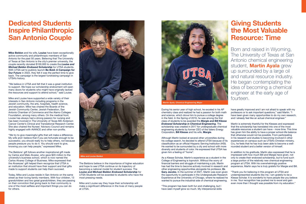## Dedicated Students Inspire Philanthropic San Antonio Couple

### Giving Students the Most Valuable Resource: Time



*Martin Ayala, Chemical Engineering Major*

The Beldons believe in the importance of higher education and hope to see UTSA continue on its trajectory of becoming a national model for student success. The *Louise and Michael Beldon Endowed Scholarship* for UTSA Students will be awarded to students who have the most pressing needs.

have greatly improved and I am not afraid to speak with my professors or to ask important questions," said Martin. "I have been given many opportunities to do my own research, and I already feel like an actual chemical engineer."

Mike and Louise say they hope their scholarship will make a significant difference in the lives of many people at UTSA.

Martin is extremely thankful for the Klesses and expressed that the scholarship has translated into one of the most valuable resources a student can have - more time. This time has given him the ability to have a proper school-life balance that otherwise would not be possible. From participating in his research and studies to becoming involved in other experiences on campus such as UTSA's Christian ministry, Cru, he feels that he has truly been able to become a wellrounded student and a better version of himself.

Mike Beldon and his wife, Louise have been exceptionally active community and philanthropic members of San Antonio for the past 50 years. Believing that The University of Texas at San Antonio is the city's premier university, the couple recently donated \$100,000 to create the *Louise and Michael Beldon Endowed Scholarship* for UTSA students. With UTSA set to publicly launch **Be Bold: A Campaign for Our Future** in 2022, they felt it was the perfect time to give back. The campaign is the largest fundraising campaign in UTSA's history.

> In addition to his gratitude, Martin also expressed that he is impressed with how much Bill and Margie have given, not only to create their endowed scholarship, but to fund such a large portion of the relatively new chemical engineering program at UTSA. With his overwhelmingly positive experience, Martin says he is truly grateful for Margie and Bill.

> "Thank you for believing in this program at UTSA and underrepresented students like me. I am grateful to be a Klesse Scholar. It is wonderful to have people like you believe in me. Your recognition has pushed me to excel and gain even more than I thought was possible from my education."

"We believe in UTSA and felt that it was a great institution to support. We hope our scholarship endowment will open many doors for students who might have originally lacked the resources and support to attend school," said Louise.

Mike and Louise have supported a wide variety of their interests in San Antonio including programs in the Jewish community, the arts, hospitals, health science, and education. Mike has chaired the Boards of the Jewish Community Center, Jewish Federation, San Antonio Chamber of Commerce and the Alamo Colleges Foundation, among many others. On the medical front, Louise has always had a strong passion for nursing and has been involved in The University of Texas MD Anderson Cancer Center's Clinical and Translational Research Center. She also chaired the Nurses' Advisory Council and remains highly engaged with AVANCE and other non-profits.

"We try to give meaningful gifts that will make a difference. My wife and I believe that if you are fortunate enough to be successful, you should really try to help others, not because people pressure you to do it. You should want to give, knowing you can help people," expressed Mike.

The Beldons' gift follows another inspirational gift made by Carlos and Malú Alvarez, who gave \$20 million to the university's business school, which is now named the Carlos Alvarez College of Business. Mike expressed that the Alvarezes' gift helped them recognize that UTSA is an institution that should have their support and that gifts made to support students can help them succeed.

Today, Mike and Louise reside in San Antonio on the same street as their loving family members. With four children, 13 grandchildren and two great grandchildren, they are passing on their conviction that giving back to their community is one of the most selfless and important things you can do for others.

During his senior year of high school, he exceled in his AP chemistry class and realized he had a passion for both math and science, which drove him to pursue a college degree in the field. In the Spring of 2019, he was among the first class of students to be awarded the *Margie and Bill Klesse Endowed Scholarship in Chemical Engineering*. The scholarship was created in 2017 for undergraduate chemical engineering students by former CEO of the Valero Energy Corporation, Bill Klesse and his wife, Margie.

Although Martin looked at several other universities during his college search, he decided to attend UTSA because of its classification as an official Hispanic Serving Institution (HSI). He wanted to be surrounded by a city and school with more diversity and students of color. He expressed that UTSA has given him a feeling of "home".

As a Klesse Scholar, Martin's experience as a student in the College of Engineering is topnotch. Without the worry of financial barriers and struggle of maintaining a job, Martin has had the time to become actively involved in research and other engineering opportunities alongside his professor, Dr. Gary Jacobs. In the summer of 2021, Martin was even given the opportunity to participate in the Undergraduate Research Experience at the University of Chicago, where he realized he wanted to pursue the industrial side of chemical engineering.

"This program has been both fun and challenging, but I have seen myself grow so much. My interpersonal skills



*Mike and Louise Beldon*

Born and raised in Wyoming, The University of Texas at San Antonio chemical engineering student, **Martin Ayala** grew up surrounded by a large oil and natural resource industry. He began contemplating the idea of becoming a chemical engineer at the early age of fourteen.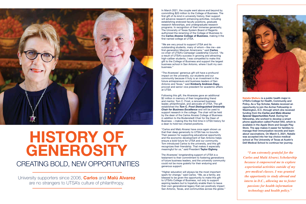*"I am extremely grateful for the Carlos and Malú Alvarez Scholarship because it empowered me to explore experiential activities outside of my pre-medical classes. I was granted the opportunity to study abroad and intern in D.C., allowing me to foster passions for health information technology and health policy."*

In March 2021, the couple went above and beyond by committing \$20 million to the College of Business. The first gift of its kind in university history, their support will advance research-enhancing activities, including establishing endowed faculty positions, graduate research fellowships, and undergraduate research programs. In recognition of their immense generosity, The University of Texas System Board of Regents authorized the renaming of the College of Business to the Carlos Alvarez College of Business, making it the first named college at UTSA.

"We are very proud to support UTSA and its outstanding students, many of whom—like me—are first-generation Mexican Americans," said Carlos, co-chair of UTSA's Campaign Leadership Council. "As a result of UTSA's success in growing and attracting high-caliber students, I was compelled to make this gift to the College of Business and support the largest business school in San Antonio, where I built my own business."

"The Alvarezes' generous gift will have a profound impact on the university, our students and our community because it truly is an investment in the future entrepreneurs and business leaders of San Antonio and Texas," said Kimberly Andrews Espy, provost and senior vice president for academic affairs at UTSA.

Following this gift, the Alvarezes gave an additional \$2 million in memory of their longstanding friend and mentor, Tom C. Frost, a renowned business leader, philanthropist, and advocate of UTSA. The gift established the *Tom C. Frost Distinguished University Chair for Business Excellence* and will be used to support research in the college. The chair will be held by the dean of the Carlos Alvarez College of Business in addition to the Bodenstedt Chair for the Dean of Business —making this the first time in UTSA history for a dean to hold two chaired positions.



# that their deep generosity to UTSA has no bounds.<br>Their passion for supporting educational opportunity<br>and the economic development of San Antonio helps<br>ensure a bold future for UTSA and our community.<br>Dell Medical School GENEROSITY

University supporters since 2006, Carlos and Malú Alvarez are no strangers to UTSA's culture of philanthropy.

"Carlos and Malú Alvarez have once again shown us that their deep generosity to UTSA has no bounds. Their passion for supporting educational opportunity and the economic development of San Antonio helps ensure a bold future for UTSA and our community. Tom introduced Carlos to the university, and this gift recognizes their friendship. That makes it especially meaningful for us," said President Taylor Eighmy.

The Alvarezes' longstanding support of UTSA is a testament to their commitment to fostering generations of future business leaders, and the university community could not be more grateful for their enduring and generous support.

"Higher education will always be the most important spark for change," said Carlos. "We, as a family, are blessed to be given the opportunity to make this gift to UTSA's College of Business, not only to support aspiring leaders but to hopefully enable them to leave their own generational legacy that can positively impact San Antonio, Texas, and communities across the globe."



**Natalie Malluru** is a public health major in UTSA's College for Health, Community and Policy. As a Top Scholar, Natalie received an opportunity to join the Archer Fellowship in Washington, D.C. through which she received funding from the *Carlos and Malú Alvarez Special Opportunities Fund*. During her fellowship, she worked to develop a smart phone application called Pocket VAX, which is available in the Apple Store and Google Play Store. The app makes it easier for families to manage their immunization records and learn about vaccinations. On March 5, 2021, Natalie was accepted into her top choice medical

# CREATING BOLD, NEW OPPORTUNITIES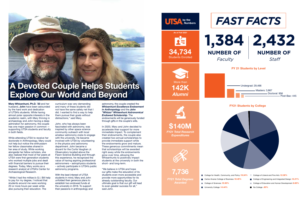Mary Whisenhunt, Ph.D. '20 and her husband, John have been astounded by the hard work and dedication of UTSA's students. While having almost polar opposite interests in the academic realm, with Mary thriving in archaeology and John having a deep admiration for astronomy, the couple has one major passion in common supporting UTSA students and faculty in both fields.

While attending UTSA to receive her doctorate in Anthropology, Mary could not help but notice the enthusiasm her fellow classmates shared in her area of study. While working alongside her fellow scholars, she also realized that most of her peers at UTSA were first-generation students who worked multiple jobs and dealt with financial barriers to pursue their degrees. Today, Mary works as a research analyst at UTSA's Center for Archaeological Research.

"While I had the military's G.I. Bill help to pay for my degree, I noticed that students around me were working 20 or more hours per week while also pursuing their education. The

curriculum was very demanding and many of these students did not have the same safety net that I did. I wanted to find a way to help them pursue their goals without distractions," said Mary.

John, who has always been fascinated with astronomy, was inspired by other space science community outreach with local amateur astronomy clubs to engage with the university. He became involved with UTSA by volunteering in the physics and astronomy department. John became a docent for the Curtis Vaughan Jr. Observatory located above the Flawn Science Building and through this experience, he recognized the value of having aspiring professional astronomers – astrophysics students – actively participate in UTSA's public astronomy programs.

- 
- College for Health, Community, and Policy *19.34%* College of Liberal and Fine Arts *12.38%* ■ Carlos Alvarez College of Business **18.45%** College of Sciences *15.93%* ■ University College 14.44%
- 
- 
- 
- College of Engineering and Integrated Design 12.21%
- **College of Education and Human Development 6.65%**
- No College **.60%**

With the best interest of UTSA students in mind, Mary and John unfolded their generous plans to establish two endowed funds at the university in 2018. To support their passions in anthropology and

astronomy, the couple created the *Whisenhunt Excellence Endowment in Anthropology* and the *John "Whizzo" Whisenhunt Astronomical Endowed Scholarship*. The endowments will be generously funded through gifts in the couple's wills.

In 2020, Mary and John decided to accelerate their support for more immediate impact. To complement their endowments, the couple also created two annual scholarships to provide immediate support while the endowments grow and mature. These generous commitments mean that scholarships will be awarded right away while the endowments grow over time, allowing the Whisenhunts to positively impact students at the university in both the short- and long-term.

"We believe in UTSA and hope our gifts make the education of its students even more accessible and provide more opportunities for its already outstanding faculty. Our ultimate goal is that our gift will lead to even greater success for all," said John.



*FY21 Total Degrees Awarded*

**\$140M** *FY21 Total Research Expenditures*









**7,736**





# A Devoted Couple Helps Students Explore Our World and Beyond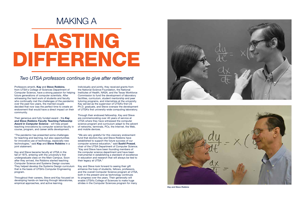

*Kay and Steve Robbins*

# LASTING DIFFERENCE

# MAKING A

Professors emeriti, Kay and Steve Robbins, from UTSA's College of Sciences Department of Computer Science, have a strong passion for helping future generations of computer scientists. After witnessing the hard work of students and faculty who continually met the challenges of the pandemic over the past two years, the married couple decided that now was the perfect time to create an endowment that would have a direct impact on their community.

Their generous and fully funded award - the *Kay and Steve Robbins Faculty Teaching Fellowship Award in Computer Science* - will help propel teaching innovations by computer science faculty in course, program, and career skills development.

"The pandemic has presented some challenges for teaching and learning, but also opportunities for innovative use of technology, especially new technologies," said Kay and Steve Robbins in a joint statement.

"We are very grateful for this visionary endowment fund that doctors Kay and Steve Robbins have established to support the future success of our computer science education," said Sushil Prasad, chair of the UTSA Department of Computer Science. "Kay and Steve have been founding members of the computer science department and have been instrumental in establishing a standard of excellence in education and research that will always be tied to their legacy at UTSA."

Kay and Steve became faculty at UTSA in the fall of 1975, entering with the university's first undergraduate class on the Main Campus. Soon after they arrived, the Robbins started teaching Computer Science and Systems Design courses. They helped develop the Systems Design curriculum that is the basis of UTSA's Computer Engineering program.

Throughout their careers, Steve and Kay focused on developing hands-on learning through laboratories, empirical approaches, and active learning.

Individually and jointly, they received grants from the National Science Foundation, the National Institutes of Health, NASA, and the Texas Workforce Commission to fund the development of laboratory facilities, curriculum, student mentorship and peer tutoring programs, and internships at the university. Kay served as the supervisor of UTSA's first CS Ph.D. graduate, and Steve oversaw the development of UTSA's first university-wide computing laboratory.

Through their endowed fellowship, Kay and Steve are commemorating over 40 years of service at UTSA where they have witnessed the computer science program and curriculum adapt to the advent of networks, terminals, PCs, the Internet, the Web, and mobile devices.

Kay and Steve look forward to seeing their gift enhance the lives of students, fellows, professors, and the overall Computer Science program at UTSA, both in the present and as technology continues to progress over the years. Their generosity will enable UTSA's College of Sciences to make huge strides in the Computer Sciences program for many



#### *Two UTSA professors continue to give after retirement*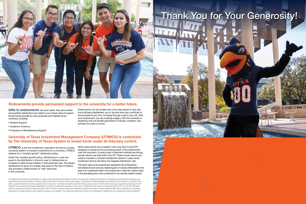UTIMCO is the first investment corporation formed by a public university system to oversee investments for a university. UTIMCO adheres to a "constant growth" distribution policy.

Under this constant growth policy, distributions in a year are equal to the distribution in the prior year (in dollars) plus an increase to offset actual inflation in that particular year. This allows distributions to grow at a steady rate equal to the rate of inflation and provides a stable stream of "real" resources to the university.

Most endowments are invested in the Long Term Fund (LTF) designed to preserve the purchasing power of the endowment over the long-term. In years when investment markets are strong, excess returns are held within the LTF. These excess returns are used to maintain a constant distribution stream in years when investment returns fall below the targeted distribution rate.

The book value of an endowment represents all contributions, reinvested income and any realized gains or losses attributable to the sale of an investment held in the endowment, while the market value is the prevailing price of an investment in an actively traded market.

Gifts to endowments are never spent, they are invested and quarterly distributions are made to your chosen area of support. Endowments provide for many purposes and interests at the university, including:

- Student Support
- Academic Positions
- Programs or Miscellaneous Support

UT institutions rely heavily on philanthropy to support their educational and research missions. Consequently, additional investments in development personnel and operations are essential to ensure that institutions enhance campus-wide efforts to secure more private support. Your generous endowment gifts are invested in the UT System's Long Term Fund (LTF), a pooled investment fund that operates like a mutual fund. As endowment gifts are received, they purchase units in the LTF, which each pay a quarterly distribution to the UT institution to be used for the purpose designated in the donor's endowment agreement. Each year, UT institutions may request an allocation from the LTF of up to .60% (60 basis points) of the value of all their endowments held in the LTF which is used to support the institution's development efforts to attract additional gifts, with an emphasis on increasing endowments to support faculty, staff, students, programs, and research. Your individual endowment's portion of the allocation is reflected on your endowment financial statement.



Endowments can be funded over a five year period or less and once officially established, you or anyone else may contribute to the principal at any time, including through a gift in your will. With your endowment, you are creating a legacy with the university in perpetuity that will benefit generations of faculty, students, and scholars for years to come.

#### Endowments provide permanent support to the university for a better future.

#### University of Texas Investment Management Company (UTIMCO) is contracted by The University of Texas System to invest funds under its fiduciary control.

# Thank You for Your Generosity!